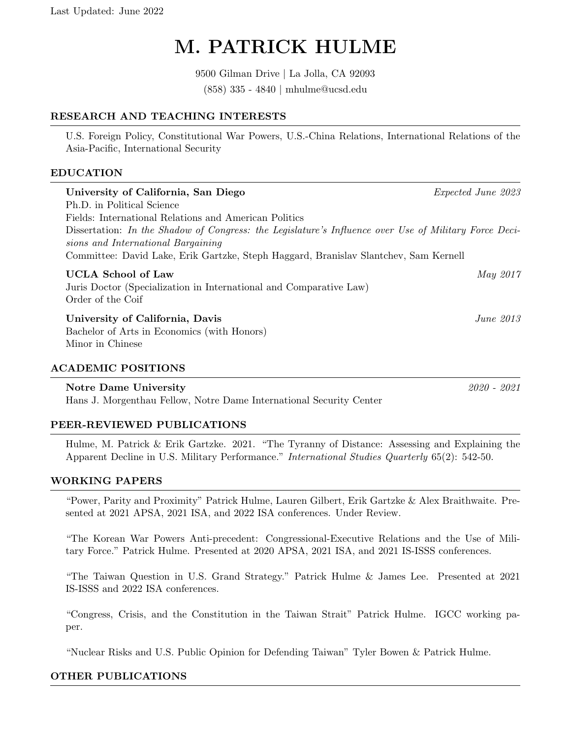# M. PATRICK HULME

9500 Gilman Drive | La Jolla, CA 92093 (858) 335 - 4840 | mhulme@ucsd.edu

#### RESEARCH AND TEACHING INTERESTS

U.S. Foreign Policy, Constitutional War Powers, U.S.-China Relations, International Relations of the Asia-Pacific, International Security

#### EDUCATION

| University of California, San Diego                                                                                                         | Expected June 2023 |
|---------------------------------------------------------------------------------------------------------------------------------------------|--------------------|
| Ph.D. in Political Science                                                                                                                  |                    |
| Fields: International Relations and American Politics                                                                                       |                    |
| Dissertation: In the Shadow of Congress: the Legislature's Influence over Use of Military Force Deci-<br>sions and International Bargaining |                    |
| Committee: David Lake, Erik Gartzke, Steph Haggard, Branislav Slantchev, Sam Kernell                                                        |                    |
| <b>UCLA</b> School of Law<br>Juris Doctor (Specialization in International and Comparative Law)<br>Order of the Coif                        | <i>May 2017</i>    |
| University of California, Davis<br>Bachelor of Arts in Economics (with Honors)<br>Minor in Chinese                                          | June 2013          |
| <b>ACADEMIC POSITIONS</b>                                                                                                                   |                    |

#### Notre Dame University 2020 - 2021

Hans J. Morgenthau Fellow, Notre Dame International Security Center

#### PEER-REVIEWED PUBLICATIONS

Hulme, M. Patrick & Erik Gartzke. 2021. "The Tyranny of Distance: Assessing and Explaining the Apparent Decline in U.S. Military Performance." International Studies Quarterly 65(2): 542-50.

#### WORKING PAPERS

"Power, Parity and Proximity" Patrick Hulme, Lauren Gilbert, Erik Gartzke & Alex Braithwaite. Presented at 2021 APSA, 2021 ISA, and 2022 ISA conferences. Under Review.

"The Korean War Powers Anti-precedent: Congressional-Executive Relations and the Use of Military Force." Patrick Hulme. Presented at 2020 APSA, 2021 ISA, and 2021 IS-ISSS conferences.

"The Taiwan Question in U.S. Grand Strategy." Patrick Hulme & James Lee. Presented at 2021 IS-ISSS and 2022 ISA conferences.

"Congress, Crisis, and the Constitution in the Taiwan Strait" Patrick Hulme. IGCC working paper.

"Nuclear Risks and U.S. Public Opinion for Defending Taiwan" Tyler Bowen & Patrick Hulme.

#### OTHER PUBLICATIONS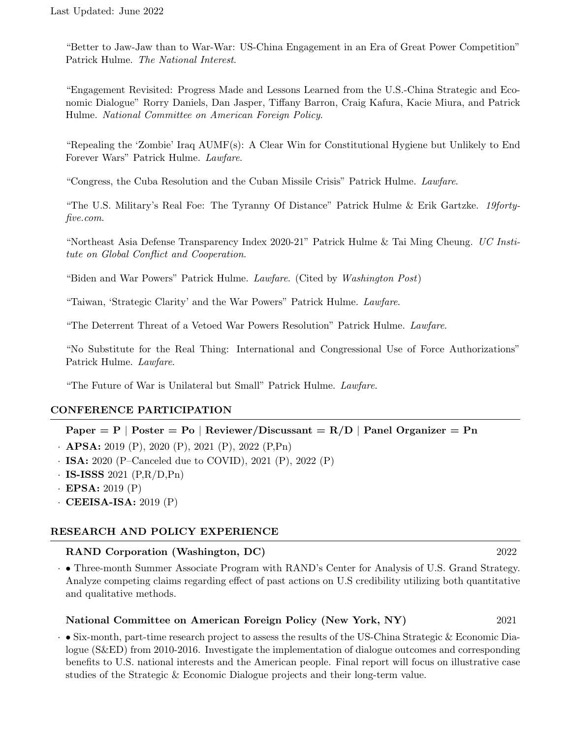"Better to Jaw-Jaw than to War-War: US-China Engagement in an Era of Great Power Competition" Patrick Hulme. The National Interest.

"Engagement Revisited: Progress Made and Lessons Learned from the U.S.-China Strategic and Economic Dialogue" Rorry Daniels, Dan Jasper, Tiffany Barron, Craig Kafura, Kacie Miura, and Patrick Hulme. National Committee on American Foreign Policy.

"Repealing the 'Zombie' Iraq AUMF(s): A Clear Win for Constitutional Hygiene but Unlikely to End Forever Wars" Patrick Hulme. Lawfare.

"Congress, the Cuba Resolution and the Cuban Missile Crisis" Patrick Hulme. Lawfare.

"The U.S. Military's Real Foe: The Tyranny Of Distance" Patrick Hulme & Erik Gartzke. 19fortyfive.com.

"Northeast Asia Defense Transparency Index 2020-21" Patrick Hulme & Tai Ming Cheung. UC Institute on Global Conflict and Cooperation.

"Biden and War Powers" Patrick Hulme. Lawfare. (Cited by Washington Post)

"Taiwan, 'Strategic Clarity' and the War Powers" Patrick Hulme. Lawfare.

"The Deterrent Threat of a Vetoed War Powers Resolution" Patrick Hulme. Lawfare.

"No Substitute for the Real Thing: International and Congressional Use of Force Authorizations" Patrick Hulme. Lawfare.

"The Future of War is Unilateral but Small" Patrick Hulme. Lawfare.

## CONFERENCE PARTICIPATION

## Paper = P | Poster = Po | Reviewer/Discussant =  $R/D$  | Panel Organizer = Pn

 $\cdot$  APSA: 2019 (P), 2020 (P), 2021 (P), 2022 (P,Pn)

- · ISA: 2020 (P–Canceled due to COVID), 2021 (P), 2022 (P)
- $\cdot$  IS-ISSS 2021 (P,R/D,Pn)
- $\cdot$  EPSA: 2019 (P)
- · CEEISA-ISA: 2019 (P)

## RESEARCH AND POLICY EXPERIENCE

#### RAND Corporation (Washington, DC) 2022

· • Three-month Summer Associate Program with RAND's Center for Analysis of U.S. Grand Strategy. Analyze competing claims regarding effect of past actions on U.S credibility utilizing both quantitative and qualitative methods.

## National Committee on American Foreign Policy (New York, NY) 2021

· • Six-month, part-time research project to assess the results of the US-China Strategic & Economic Dialogue (S&ED) from 2010-2016. Investigate the implementation of dialogue outcomes and corresponding benefits to U.S. national interests and the American people. Final report will focus on illustrative case studies of the Strategic & Economic Dialogue projects and their long-term value.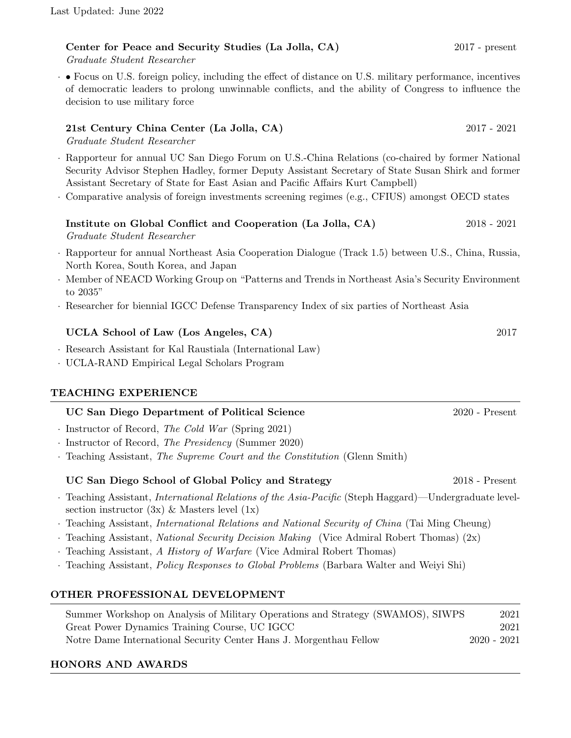## Center for Peace and Security Studies (La Jolla, CA) 2017 - present

Graduate Student Researcher

· • Focus on U.S. foreign policy, including the effect of distance on U.S. military performance, incentives of democratic leaders to prolong unwinnable conflicts, and the ability of Congress to influence the decision to use military force

## 21st Century China Center (La Jolla, CA) 2017 - 2021

Graduate Student Researcher

- · Rapporteur for annual UC San Diego Forum on U.S.-China Relations (co-chaired by former National Security Advisor Stephen Hadley, former Deputy Assistant Secretary of State Susan Shirk and former Assistant Secretary of State for East Asian and Pacific Affairs Kurt Campbell)
- · Comparative analysis of foreign investments screening regimes (e.g., CFIUS) amongst OECD states
	- Institute on Global Conflict and Cooperation (La Jolla, CA) 2018 2021 Graduate Student Researcher
- · Rapporteur for annual Northeast Asia Cooperation Dialogue (Track 1.5) between U.S., China, Russia, North Korea, South Korea, and Japan
- · Member of NEACD Working Group on "Patterns and Trends in Northeast Asia's Security Environment to 2035"
- · Researcher for biennial IGCC Defense Transparency Index of six parties of Northeast Asia

## UCLA School of Law (Los Angeles, CA) 2017

- · Research Assistant for Kal Raustiala (International Law)
- · UCLA-RAND Empirical Legal Scholars Program

## TEACHING EXPERIENCE

## UC San Diego Department of Political Science 2020 - Present

- · Instructor of Record, The Cold War (Spring 2021)
- · Instructor of Record, The Presidency (Summer 2020)
- · Teaching Assistant, The Supreme Court and the Constitution (Glenn Smith)

## UC San Diego School of Global Policy and Strategy 2018 - Present

- · Teaching Assistant, International Relations of the Asia-Pacific (Steph Haggard)—Undergraduate levelsection instructor  $(3x)$  & Masters level  $(1x)$
- · Teaching Assistant, International Relations and National Security of China (Tai Ming Cheung)
- · Teaching Assistant, National Security Decision Making (Vice Admiral Robert Thomas) (2x)
- · Teaching Assistant, A History of Warfare (Vice Admiral Robert Thomas)
- · Teaching Assistant, Policy Responses to Global Problems (Barbara Walter and Weiyi Shi)

## OTHER PROFESSIONAL DEVELOPMENT

| Summer Workshop on Analysis of Military Operations and Strategy (SWAMOS), SIWPS |               | 2021 |
|---------------------------------------------------------------------------------|---------------|------|
| Great Power Dynamics Training Course, UC IGCC                                   |               | 2021 |
| Notre Dame International Security Center Hans J. Morgenthau Fellow              | $2020 - 2021$ |      |

## HONORS AND AWARDS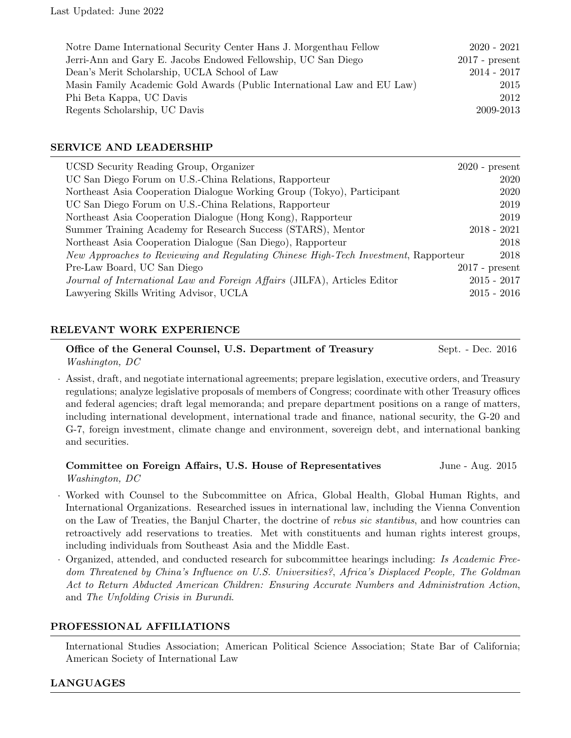| Notre Dame International Security Center Hans J. Morgenthau Fellow      | $2020 - 2021$    |
|-------------------------------------------------------------------------|------------------|
| Jerri-Ann and Gary E. Jacobs Endowed Fellowship, UC San Diego           | $2017$ - present |
| Dean's Merit Scholarship, UCLA School of Law                            | $2014 - 2017$    |
| Masin Family Academic Gold Awards (Public International Law and EU Law) | 2015             |
| Phi Beta Kappa, UC Davis                                                | 2012             |
| Regents Scholarship, UC Davis                                           | 2009-2013        |
|                                                                         |                  |

#### SERVICE AND LEADERSHIP

| UCSD Security Reading Group, Organizer                                              | $2020$ - present |
|-------------------------------------------------------------------------------------|------------------|
| UC San Diego Forum on U.S.-China Relations, Rapporteur                              | 2020             |
| Northeast Asia Cooperation Dialogue Working Group (Tokyo), Participant              | 2020             |
| UC San Diego Forum on U.S.-China Relations, Rapporteur                              | 2019             |
| Northeast Asia Cooperation Dialogue (Hong Kong), Rapporteur                         | 2019             |
| Summer Training Academy for Research Success (STARS), Mentor                        | $2018 - 2021$    |
| Northeast Asia Cooperation Dialogue (San Diego), Rapporteur                         | 2018             |
| New Approaches to Reviewing and Regulating Chinese High-Tech Investment, Rapporteur | 2018             |
| Pre-Law Board, UC San Diego                                                         | $2017$ - present |
| Journal of International Law and Foreign Affairs (JILFA), Articles Editor           | $2015 - 2017$    |
| Lawyering Skills Writing Advisor, UCLA                                              | $2015 - 2016$    |

## RELEVANT WORK EXPERIENCE

Office of the General Counsel, U.S. Department of Treasury Sept. - Dec. 2016 Washington, DC

· Assist, draft, and negotiate international agreements; prepare legislation, executive orders, and Treasury regulations; analyze legislative proposals of members of Congress; coordinate with other Treasury offices and federal agencies; draft legal memoranda; and prepare department positions on a range of matters, including international development, international trade and finance, national security, the G-20 and G-7, foreign investment, climate change and environment, sovereign debt, and international banking and securities.

#### Committee on Foreign Affairs, U.S. House of Representatives June - Aug. 2015 Washington, DC

- · Worked with Counsel to the Subcommittee on Africa, Global Health, Global Human Rights, and International Organizations. Researched issues in international law, including the Vienna Convention on the Law of Treaties, the Banjul Charter, the doctrine of rebus sic stantibus, and how countries can retroactively add reservations to treaties. Met with constituents and human rights interest groups, including individuals from Southeast Asia and the Middle East.
- · Organized, attended, and conducted research for subcommittee hearings including: Is Academic Freedom Threatened by China's Influence on U.S. Universities?, Africa's Displaced People, The Goldman Act to Return Abducted American Children: Ensuring Accurate Numbers and Administration Action, and The Unfolding Crisis in Burundi.

## PROFESSIONAL AFFILIATIONS

International Studies Association; American Political Science Association; State Bar of California; American Society of International Law

## LANGUAGES